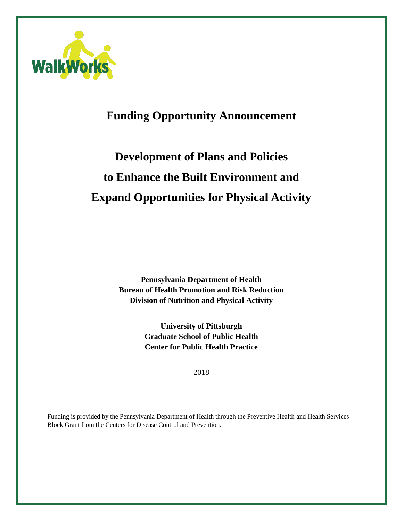

# **Funding Opportunity Announcement**

# **Development of Plans and Policies to Enhance the Built Environment and Expand Opportunities for Physical Activity**

**Pennsylvania Department of Health Bureau of Health Promotion and Risk Reduction Division of Nutrition and Physical Activity**

> **University of Pittsburgh Graduate School of Public Health Center for Public Health Practice**

> > 2018

Funding is provided by the Pennsylvania Department of Health through the Preventive Health and Health Services Block Grant from the Centers for Disease Control and Prevention.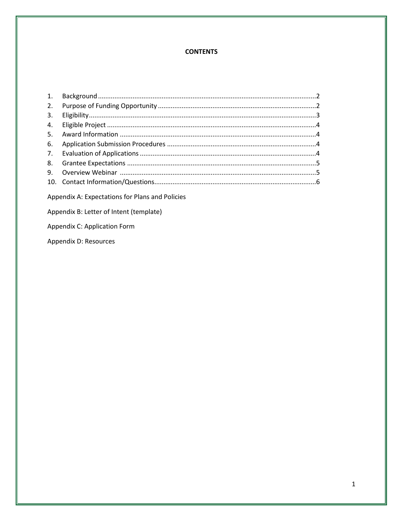# **CONTENTS**

| 2. |  |
|----|--|
| 3. |  |
|    |  |
|    |  |
|    |  |
|    |  |
|    |  |
|    |  |
|    |  |
|    |  |

Appendix A: Expectations for Plans and Policies

Appendix B: Letter of Intent (template)

Appendix C: Application Form

Appendix D: Resources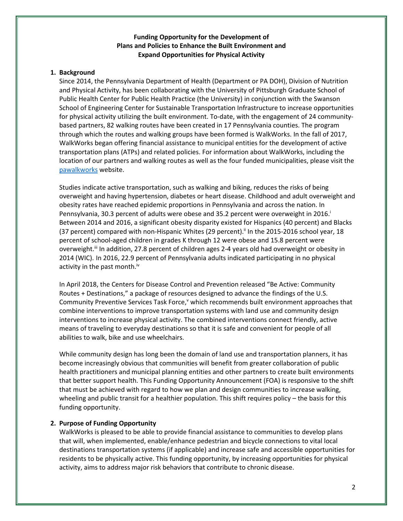# **Funding Opportunity for the Development of Plans and Policies to Enhance the Built Environment and Expand Opportunities for Physical Activity**

# **1. Background**

Since 2014, the Pennsylvania Department of Health (Department or PA DOH), Division of Nutrition and Physical Activity, has been collaborating with the University of Pittsburgh Graduate School of Public Health Center for Public Health Practice (the University) in conjunction with the Swanson School of Engineering Center for Sustainable Transportation Infrastructure to increase opportunities for physical activity utilizing the built environment. To-date, with the engagement of 24 communitybased partners, 82 walking routes have been created in 17 Pennsylvania counties. The program through which the routes and walking groups have been formed is WalkWorks. In the fall of 2017, WalkWorks began offering financial assistance to municipal entities for the development of active transportation plans (ATPs) and related policies. For information about WalkWorks, including the location of our partners and walking routes as well as the four funded municipalities, please visit the [pawalkworks](http://www.health.pa.gov/WalkWorks/Pages/default.aspx#.WU1ynuvytaQ) website.

Studies indicate active transportation, such as walking and biking, reduces the risks of being overweight and having hypertension, diabetes or heart disease. Childhood and adult overweight and obesity rates have reached epidemic proportions in Pennsylvania and across the nation. In Pennsylvania, 30.3 percent of adults were obese and 35.2 percent were overweight in 2016. Between 2014 and 2016, a significant obesity disparity existed for Hispanics (40 percent) and Blacks (37 percent) compared with non-Hispanic Whites (29 percent).<sup>ii</sup> In the 2015-2016 school year, 18 percent of school-aged children in grades K through 12 were obese and 15.8 percent were overweight.<sup>ii</sup> In addition, 27.8 percent of children ages 2-4 years old had overweight or obesity in 2014 (WIC). In 2016, 22.9 percent of Pennsylvania adults indicated participating in no physical activity in the past month.<sup>iv</sup>

In April 2018, the Centers for Disease Control and Prevention released "Be Active: Community Routes + Destinations," a package of resources designed to advance the findings of the U.S. Community Preventive Services Task Force, *which recommends built environment approaches that* combine interventions to improve transportation systems with land use and community design interventions to increase physical activity. The combined interventions connect friendly, active means of traveling to everyday destinations so that it is safe and convenient for people of all abilities to walk, bike and use wheelchairs.

While community design has long been the domain of land use and transportation planners, it has become increasingly obvious that communities will benefit from greater collaboration of public health practitioners and municipal planning entities and other partners to create built environments that better support health. This Funding Opportunity Announcement (FOA) is responsive to the shift that must be achieved with regard to how we plan and design communities to increase walking, wheeling and public transit for a healthier population. This shift requires policy – the basis for this funding opportunity.

# **2. Purpose of Funding Opportunity**

WalkWorks is pleased to be able to provide financial assistance to communities to develop plans that will, when implemented, enable/enhance pedestrian and bicycle connections to vital local destinations transportation systems (if applicable) and increase safe and accessible opportunities for residents to be physically active. This funding opportunity, by increasing opportunities for physical activity, aims to address major risk behaviors that contribute to chronic disease.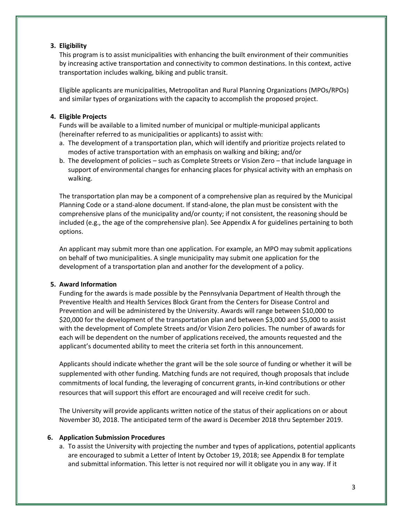# **3. Eligibility**

This program is to assist municipalities with enhancing the built environment of their communities by increasing active transportation and connectivity to common destinations. In this context, active transportation includes walking, biking and public transit.

Eligible applicants are municipalities, Metropolitan and Rural Planning Organizations (MPOs/RPOs) and similar types of organizations with the capacity to accomplish the proposed project.

# **4. Eligible Projects**

Funds will be available to a limited number of municipal or multiple-municipal applicants (hereinafter referred to as municipalities or applicants) to assist with:

- a. The development of a transportation plan, which will identify and prioritize projects related to modes of active transportation with an emphasis on walking and biking; and/or
- b. The development of policies such as Complete Streets or Vision Zero that include language in support of environmental changes for enhancing places for physical activity with an emphasis on walking.

The transportation plan may be a component of a comprehensive plan as required by the Municipal Planning Code or a stand-alone document. If stand-alone, the plan must be consistent with the comprehensive plans of the municipality and/or county; if not consistent, the reasoning should be included (e.g., the age of the comprehensive plan). See Appendix A for guidelines pertaining to both options.

An applicant may submit more than one application. For example, an MPO may submit applications on behalf of two municipalities. A single municipality may submit one application for the development of a transportation plan and another for the development of a policy.

# **5. Award Information**

Funding for the awards is made possible by the Pennsylvania Department of Health through the Preventive Health and Health Services Block Grant from the Centers for Disease Control and Prevention and will be administered by the University. Awards will range between \$10,000 to \$20,000 for the development of the transportation plan and between \$3,000 and \$5,000 to assist with the development of Complete Streets and/or Vision Zero policies. The number of awards for each will be dependent on the number of applications received, the amounts requested and the applicant's documented ability to meet the criteria set forth in this announcement.

Applicants should indicate whether the grant will be the sole source of funding or whether it will be supplemented with other funding. Matching funds are not required, though proposals that include commitments of local funding, the leveraging of concurrent grants, in-kind contributions or other resources that will support this effort are encouraged and will receive credit for such.

The University will provide applicants written notice of the status of their applications on or about November 30, 2018. The anticipated term of the award is December 2018 thru September 2019.

# **6. Application Submission Procedures**

a. To assist the University with projecting the number and types of applications, potential applicants are encouraged to submit a Letter of Intent by October 19, 2018; see Appendix B for template and submittal information. This letter is not required nor will it obligate you in any way. If it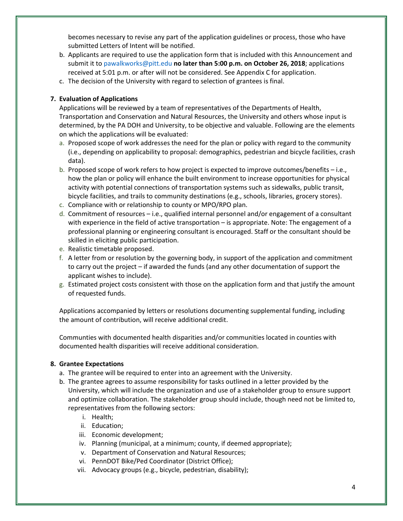becomes necessary to revise any part of the application guidelines or process, those who have submitted Letters of Intent will be notified.

- b. Applicants are required to use the application form that is included with this Announcement and submit it t[o pawalkworks@pitt.edu](mailto:pawalkworks@pitt.edu) **no later than 5:00 p.m. on October 26, 2018**; applications received at 5:01 p.m. or after will not be considered. See Appendix C for application.
- c. The decision of the University with regard to selection of grantees is final.

# **7. Evaluation of Applications**

Applications will be reviewed by a team of representatives of the Departments of Health, Transportation and Conservation and Natural Resources, the University and others whose input is determined, by the PA DOH and University, to be objective and valuable. Following are the elements on which the applications will be evaluated:

- a. Proposed scope of work addresses the need for the plan or policy with regard to the community (i.e., depending on applicability to proposal: demographics, pedestrian and bicycle facilities, crash data).
- b. Proposed scope of work refers to how project is expected to improve outcomes/benefits i.e., how the plan or policy will enhance the built environment to increase opportunities for physical activity with potential connections of transportation systems such as sidewalks, public transit, bicycle facilities, and trails to community destinations (e.g., schools, libraries, grocery stores).
- c. Compliance with or relationship to county or MPO/RPO plan.
- d. Commitment of resources i.e., qualified internal personnel and/or engagement of a consultant with experience in the field of active transportation – is appropriate. Note: The engagement of a professional planning or engineering consultant is encouraged. Staff or the consultant should be skilled in eliciting public participation.
- e. Realistic timetable proposed.
- f. A letter from or resolution by the governing body, in support of the application and commitment to carry out the project – if awarded the funds (and any other documentation of support the applicant wishes to include).
- g. Estimated project costs consistent with those on the application form and that justify the amount of requested funds.

Applications accompanied by letters or resolutions documenting supplemental funding, including the amount of contribution, will receive additional credit.

Communties with documented health disparities and/or communities located in counties with documented health disparities will receive additional consideration.

# **8. Grantee Expectations**

- a. The grantee will be required to enter into an agreement with the University.
- b. The grantee agrees to assume responsibility for tasks outlined in a letter provided by the University, which will include the organization and use of a stakeholder group to ensure support and optimize collaboration. The stakeholder group should include, though need not be limited to, representatives from the following sectors:
	- i. Health;
	- ii. Education;
	- iii. Economic development;
	- iv. Planning (municipal, at a minimum; county, if deemed appropriate);
	- v. Department of Conservation and Natural Resources;
	- vi. PennDOT Bike/Ped Coordinator (District Office);
	- vii. Advocacy groups (e.g., bicycle, pedestrian, disability);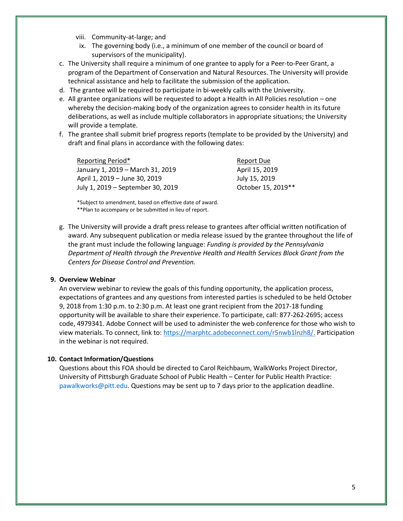- viii. Community-at-large; and
- ix. The governing body (i.e., a minimum of one member of the council or board of supervisors of the municipality).
- c. The University shall require a minimum of one grantee to apply for a Peer-to-Peer Grant, a program of the Department of Conservation and Natural Resources. The University will provide technical assistance and help to facilitate the submission of the application.
- d. The grantee will be required to participate in bi-weekly calls with the University.
- e. All grantee organizations will be requested to adopt a Health in All Policies resolution one whereby the decision-making body of the organization agrees to consider health in its future deliberations, as well as include multiple collaborators in appropriate situations; the University will provide a template.
- f. The grantee shall submit brief progress reports (template to be provided by the University) and draft and final plans in accordance with the following dates:

Reporting Period\* and a second period and a second period and a second period and a second period  $\mathbb{R}$ January 1, 2019 – March 31, 2019 **April 15, 2019** April 1, 2019 – June 30, 2019 **July 15, 2019** July 1, 2019 – September 30, 2019 October 15, 2019\*\*

\*Subject to amendment, based on effective date of award. \*\*Plan to accompany or be submitted in lieu of report.

g. The University will provide a draft press release to grantees after official written notification of award. Any subsequent publication or media release issued by the grantee throughout the life of the grant must include the following language: *Funding is provided by the Pennsylvania Department of Health through the Preventive Health and Health Services Block Grant from the Centers for Disease Control and Prevention.*

#### **9. Overview Webinar**

An overview webinar to review the goals of this funding opportunity, the application process, expectations of grantees and any questions from interested parties is scheduled to be held October 9, 2018 from 1:30 p.m. to 2:30 p.m. At least one grant recipient from the 2017-18 funding opportunity will be available to share their experience. To participate, call: 877-262-2695; access code, 4979341. Adobe Connect will be used to administer the web conference for those who wish to view materials. To connect, link to: [https://marphtc.adobeconnect.com/r5nwb1lnzh8/.](https://marphtc.adobeconnect.com/r5nwb1lnzh8/) Participation in the webinar is not required.

#### **10. Contact Information/Questions**

Questions about this FOA should be directed to Carol Reichbaum, WalkWorks Project Director, University of Pittsburgh Graduate School of Public Health – Center for Public Health Practice: [pawalkworks@pitt.edu.](mailto:CAROLR@pitt.edu) Questions may be sent up to 7 days prior to the application deadline.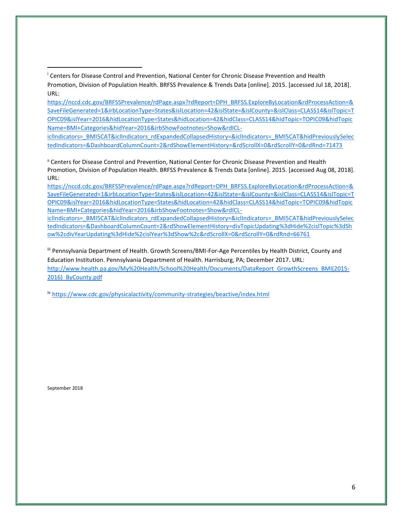[https://nccd.cdc.gov/BRFSSPrevalence/rdPage.aspx?rdReport=DPH\\_BRFSS.ExploreByLocation&rdProcessAction=&](https://nccd.cdc.gov/BRFSSPrevalence/rdPage.aspx?rdReport=DPH_BRFSS.ExploreByLocation&rdProcessAction=&SaveFileGenerated=1&irbLocationType=States&islLocation=42&islState=&islCounty=&islClass=CLASS14&islTopic=TOPIC09&islYear=2016&hidLocationType=States&hidLocation=42&hidClass=CLASS14&hidTopic=TOPIC09&hidTopicName=BMI+Categories&hidYear=2016&irbShowFootnotes=Show&rdICL-iclIndicators=_BMI5CAT&iclIndicators_rdExpandedCollapsedHistory=&iclIndicators=_BMI5CAT&hidPreviouslySelectedIndicators=&DashboardColumnCount=2&rdShowElementHistory=&rdScrollX=0&rdScrollY=0&rdRnd=71473) [SaveFileGenerated=1&irbLocationType=States&islLocation=42&islState=&islCounty=&islClass=CLASS14&islTopic=T](https://nccd.cdc.gov/BRFSSPrevalence/rdPage.aspx?rdReport=DPH_BRFSS.ExploreByLocation&rdProcessAction=&SaveFileGenerated=1&irbLocationType=States&islLocation=42&islState=&islCounty=&islClass=CLASS14&islTopic=TOPIC09&islYear=2016&hidLocationType=States&hidLocation=42&hidClass=CLASS14&hidTopic=TOPIC09&hidTopicName=BMI+Categories&hidYear=2016&irbShowFootnotes=Show&rdICL-iclIndicators=_BMI5CAT&iclIndicators_rdExpandedCollapsedHistory=&iclIndicators=_BMI5CAT&hidPreviouslySelectedIndicators=&DashboardColumnCount=2&rdShowElementHistory=&rdScrollX=0&rdScrollY=0&rdRnd=71473) [OPIC09&islYear=2016&hidLocationType=States&hidLocation=42&hidClass=CLASS14&hidTopic=TOPIC09&hidTopic](https://nccd.cdc.gov/BRFSSPrevalence/rdPage.aspx?rdReport=DPH_BRFSS.ExploreByLocation&rdProcessAction=&SaveFileGenerated=1&irbLocationType=States&islLocation=42&islState=&islCounty=&islClass=CLASS14&islTopic=TOPIC09&islYear=2016&hidLocationType=States&hidLocation=42&hidClass=CLASS14&hidTopic=TOPIC09&hidTopicName=BMI+Categories&hidYear=2016&irbShowFootnotes=Show&rdICL-iclIndicators=_BMI5CAT&iclIndicators_rdExpandedCollapsedHistory=&iclIndicators=_BMI5CAT&hidPreviouslySelectedIndicators=&DashboardColumnCount=2&rdShowElementHistory=&rdScrollX=0&rdScrollY=0&rdRnd=71473) [Name=BMI+Categories&hidYear=2016&irbShowFootnotes=Show&rdICL-](https://nccd.cdc.gov/BRFSSPrevalence/rdPage.aspx?rdReport=DPH_BRFSS.ExploreByLocation&rdProcessAction=&SaveFileGenerated=1&irbLocationType=States&islLocation=42&islState=&islCounty=&islClass=CLASS14&islTopic=TOPIC09&islYear=2016&hidLocationType=States&hidLocation=42&hidClass=CLASS14&hidTopic=TOPIC09&hidTopicName=BMI+Categories&hidYear=2016&irbShowFootnotes=Show&rdICL-iclIndicators=_BMI5CAT&iclIndicators_rdExpandedCollapsedHistory=&iclIndicators=_BMI5CAT&hidPreviouslySelectedIndicators=&DashboardColumnCount=2&rdShowElementHistory=&rdScrollX=0&rdScrollY=0&rdRnd=71473)

[iclIndicators=\\_BMI5CAT&iclIndicators\\_rdExpandedCollapsedHistory=&iclIndicators=\\_BMI5CAT&hidPreviouslySelec](https://nccd.cdc.gov/BRFSSPrevalence/rdPage.aspx?rdReport=DPH_BRFSS.ExploreByLocation&rdProcessAction=&SaveFileGenerated=1&irbLocationType=States&islLocation=42&islState=&islCounty=&islClass=CLASS14&islTopic=TOPIC09&islYear=2016&hidLocationType=States&hidLocation=42&hidClass=CLASS14&hidTopic=TOPIC09&hidTopicName=BMI+Categories&hidYear=2016&irbShowFootnotes=Show&rdICL-iclIndicators=_BMI5CAT&iclIndicators_rdExpandedCollapsedHistory=&iclIndicators=_BMI5CAT&hidPreviouslySelectedIndicators=&DashboardColumnCount=2&rdShowElementHistory=&rdScrollX=0&rdScrollY=0&rdRnd=71473) [tedIndicators=&DashboardColumnCount=2&rdShowElementHistory=&rdScrollX=0&rdScrollY=0&rdRnd=71473](https://nccd.cdc.gov/BRFSSPrevalence/rdPage.aspx?rdReport=DPH_BRFSS.ExploreByLocation&rdProcessAction=&SaveFileGenerated=1&irbLocationType=States&islLocation=42&islState=&islCounty=&islClass=CLASS14&islTopic=TOPIC09&islYear=2016&hidLocationType=States&hidLocation=42&hidClass=CLASS14&hidTopic=TOPIC09&hidTopicName=BMI+Categories&hidYear=2016&irbShowFootnotes=Show&rdICL-iclIndicators=_BMI5CAT&iclIndicators_rdExpandedCollapsedHistory=&iclIndicators=_BMI5CAT&hidPreviouslySelectedIndicators=&DashboardColumnCount=2&rdShowElementHistory=&rdScrollX=0&rdScrollY=0&rdRnd=71473)

ii Centers for Disease Control and Prevention, National Center for Chronic Disease Prevention and Health Promotion, Division of Population Health. BRFSS Prevalence & Trends Data [online]. 2015. [accessed Aug 08, 2018]. URL:

[https://nccd.cdc.gov/BRFSSPrevalence/rdPage.aspx?rdReport=DPH\\_BRFSS.ExploreByLocation&rdProcessAction=&](https://nccd.cdc.gov/BRFSSPrevalence/rdPage.aspx?rdReport=DPH_BRFSS.ExploreByLocation&rdProcessAction=&SaveFileGenerated=1&irbLocationType=States&islLocation=42&islState=&islCounty=&islClass=CLASS14&islTopic=TOPIC09&islYear=2016&hidLocationType=States&hidLocation=42&hidClass=CLASS14&hidTopic=TOPIC09&hidTopicName=BMI+Categories&hidYear=2016&irbShowFootnotes=Show&rdICL-iclIndicators=_BMI5CAT&iclIndicators_rdExpandedCollapsedHistory=&iclIndicators=_BMI5CAT&hidPreviouslySelectedIndicators=&DashboardColumnCount=2&rdShowElementHistory=divTopicUpdating%3dHide%2cislTopic%3dShow%2cdivYearUpdating%3dHide%2cislYear%3dShow%2c&rdScrollX=0&rdScrollY=0&rdRnd=66761) [SaveFileGenerated=1&irbLocationType=States&islLocation=42&islState=&islCounty=&islClass=CLASS14&islTopic=T](https://nccd.cdc.gov/BRFSSPrevalence/rdPage.aspx?rdReport=DPH_BRFSS.ExploreByLocation&rdProcessAction=&SaveFileGenerated=1&irbLocationType=States&islLocation=42&islState=&islCounty=&islClass=CLASS14&islTopic=TOPIC09&islYear=2016&hidLocationType=States&hidLocation=42&hidClass=CLASS14&hidTopic=TOPIC09&hidTopicName=BMI+Categories&hidYear=2016&irbShowFootnotes=Show&rdICL-iclIndicators=_BMI5CAT&iclIndicators_rdExpandedCollapsedHistory=&iclIndicators=_BMI5CAT&hidPreviouslySelectedIndicators=&DashboardColumnCount=2&rdShowElementHistory=divTopicUpdating%3dHide%2cislTopic%3dShow%2cdivYearUpdating%3dHide%2cislYear%3dShow%2c&rdScrollX=0&rdScrollY=0&rdRnd=66761) [OPIC09&islYear=2016&hidLocationType=States&hidLocation=42&hidClass=CLASS14&hidTopic=TOPIC09&hidTopic](https://nccd.cdc.gov/BRFSSPrevalence/rdPage.aspx?rdReport=DPH_BRFSS.ExploreByLocation&rdProcessAction=&SaveFileGenerated=1&irbLocationType=States&islLocation=42&islState=&islCounty=&islClass=CLASS14&islTopic=TOPIC09&islYear=2016&hidLocationType=States&hidLocation=42&hidClass=CLASS14&hidTopic=TOPIC09&hidTopicName=BMI+Categories&hidYear=2016&irbShowFootnotes=Show&rdICL-iclIndicators=_BMI5CAT&iclIndicators_rdExpandedCollapsedHistory=&iclIndicators=_BMI5CAT&hidPreviouslySelectedIndicators=&DashboardColumnCount=2&rdShowElementHistory=divTopicUpdating%3dHide%2cislTopic%3dShow%2cdivYearUpdating%3dHide%2cislYear%3dShow%2c&rdScrollX=0&rdScrollY=0&rdRnd=66761) [Name=BMI+Categories&hidYear=2016&irbShowFootnotes=Show&rdICL-](https://nccd.cdc.gov/BRFSSPrevalence/rdPage.aspx?rdReport=DPH_BRFSS.ExploreByLocation&rdProcessAction=&SaveFileGenerated=1&irbLocationType=States&islLocation=42&islState=&islCounty=&islClass=CLASS14&islTopic=TOPIC09&islYear=2016&hidLocationType=States&hidLocation=42&hidClass=CLASS14&hidTopic=TOPIC09&hidTopicName=BMI+Categories&hidYear=2016&irbShowFootnotes=Show&rdICL-iclIndicators=_BMI5CAT&iclIndicators_rdExpandedCollapsedHistory=&iclIndicators=_BMI5CAT&hidPreviouslySelectedIndicators=&DashboardColumnCount=2&rdShowElementHistory=divTopicUpdating%3dHide%2cislTopic%3dShow%2cdivYearUpdating%3dHide%2cislYear%3dShow%2c&rdScrollX=0&rdScrollY=0&rdRnd=66761)

[iclIndicators=\\_BMI5CAT&iclIndicators\\_rdExpandedCollapsedHistory=&iclIndicators=\\_BMI5CAT&hidPreviouslySelec](https://nccd.cdc.gov/BRFSSPrevalence/rdPage.aspx?rdReport=DPH_BRFSS.ExploreByLocation&rdProcessAction=&SaveFileGenerated=1&irbLocationType=States&islLocation=42&islState=&islCounty=&islClass=CLASS14&islTopic=TOPIC09&islYear=2016&hidLocationType=States&hidLocation=42&hidClass=CLASS14&hidTopic=TOPIC09&hidTopicName=BMI+Categories&hidYear=2016&irbShowFootnotes=Show&rdICL-iclIndicators=_BMI5CAT&iclIndicators_rdExpandedCollapsedHistory=&iclIndicators=_BMI5CAT&hidPreviouslySelectedIndicators=&DashboardColumnCount=2&rdShowElementHistory=divTopicUpdating%3dHide%2cislTopic%3dShow%2cdivYearUpdating%3dHide%2cislYear%3dShow%2c&rdScrollX=0&rdScrollY=0&rdRnd=66761) [tedIndicators=&DashboardColumnCount=2&rdShowElementHistory=divTopicUpdating%3dHide%2cislTopic%3dSh](https://nccd.cdc.gov/BRFSSPrevalence/rdPage.aspx?rdReport=DPH_BRFSS.ExploreByLocation&rdProcessAction=&SaveFileGenerated=1&irbLocationType=States&islLocation=42&islState=&islCounty=&islClass=CLASS14&islTopic=TOPIC09&islYear=2016&hidLocationType=States&hidLocation=42&hidClass=CLASS14&hidTopic=TOPIC09&hidTopicName=BMI+Categories&hidYear=2016&irbShowFootnotes=Show&rdICL-iclIndicators=_BMI5CAT&iclIndicators_rdExpandedCollapsedHistory=&iclIndicators=_BMI5CAT&hidPreviouslySelectedIndicators=&DashboardColumnCount=2&rdShowElementHistory=divTopicUpdating%3dHide%2cislTopic%3dShow%2cdivYearUpdating%3dHide%2cislYear%3dShow%2c&rdScrollX=0&rdScrollY=0&rdRnd=66761) [ow%2cdivYearUpdating%3dHide%2cislYear%3dShow%2c&rdScrollX=0&rdScrollY=0&rdRnd=66761](https://nccd.cdc.gov/BRFSSPrevalence/rdPage.aspx?rdReport=DPH_BRFSS.ExploreByLocation&rdProcessAction=&SaveFileGenerated=1&irbLocationType=States&islLocation=42&islState=&islCounty=&islClass=CLASS14&islTopic=TOPIC09&islYear=2016&hidLocationType=States&hidLocation=42&hidClass=CLASS14&hidTopic=TOPIC09&hidTopicName=BMI+Categories&hidYear=2016&irbShowFootnotes=Show&rdICL-iclIndicators=_BMI5CAT&iclIndicators_rdExpandedCollapsedHistory=&iclIndicators=_BMI5CAT&hidPreviouslySelectedIndicators=&DashboardColumnCount=2&rdShowElementHistory=divTopicUpdating%3dHide%2cislTopic%3dShow%2cdivYearUpdating%3dHide%2cislYear%3dShow%2c&rdScrollX=0&rdScrollY=0&rdRnd=66761)

iii Pennsylvania Department of Health. Growth Screens/BMI-For-Age Percentiles by Health District, County and Education Institution. Pennsylvania Department of Health. Harrisburg, PA; December 2017. URL: [http://www.health.pa.gov/My%20Health/School%20Health/Documents/DataReport\\_GrowthScreens\\_BMI\(2015-](http://www.health.pa.gov/My%20Health/School%20Health/Documents/DataReport_GrowthScreens_BMI(2015-2016)_ByCounty.pdf) [2016\)\\_ByCounty.pdf](http://www.health.pa.gov/My%20Health/School%20Health/Documents/DataReport_GrowthScreens_BMI(2015-2016)_ByCounty.pdf)

iv <https://www.cdc.gov/physicalactivity/community-strategies/beactive/index.html>

September 2018

 $\overline{a}$ 

<sup>i</sup> Centers for Disease Control and Prevention, National Center for Chronic Disease Prevention and Health Promotion, Division of Population Health. BRFSS Prevalence & Trends Data [online]. 2015. [accessed Jul 18, 2018]. URL: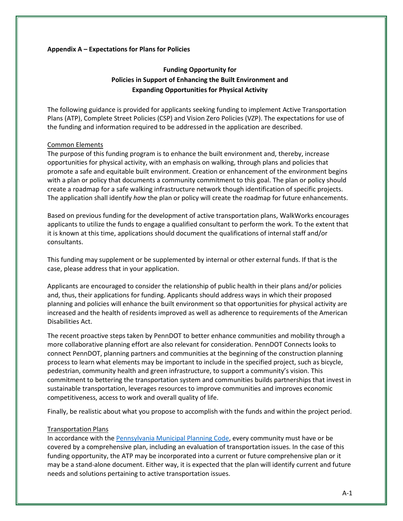#### **Appendix A – Expectations for Plans for Policies**

# **Funding Opportunity for Policies in Support of Enhancing the Built Environment and Expanding Opportunities for Physical Activity**

The following guidance is provided for applicants seeking funding to implement Active Transportation Plans (ATP), Complete Street Policies (CSP) and Vision Zero Policies (VZP). The expectations for use of the funding and information required to be addressed in the application are described.

#### Common Elements

The purpose of this funding program is to enhance the built environment and, thereby, increase opportunities for physical activity, with an emphasis on walking, through plans and policies that promote a safe and equitable built environment. Creation or enhancement of the environment begins with a plan or policy that documents a community commitment to this goal. The plan or policy should create a roadmap for a safe walking infrastructure network though identification of specific projects. The application shall identify *how* the plan or policy will create the roadmap for future enhancements.

Based on previous funding for the development of active transportation plans, WalkWorks encourages applicants to utilize the funds to engage a qualified consultant to perform the work. To the extent that it is known at this time, applications should document the qualifications of internal staff and/or consultants.

This funding may supplement or be supplemented by internal or other external funds. If that is the case, please address that in your application.

Applicants are encouraged to consider the relationship of public health in their plans and/or policies and, thus, their applications for funding. Applicants should address ways in which their proposed planning and policies will enhance the built environment so that opportunities for physical activity are increased and the health of residents improved as well as adherence to requirements of the American Disabilities Act.

The recent proactive steps taken by PennDOT to better enhance communities and mobility through a more collaborative planning effort are also relevant for consideration. PennDOT Connects looks to connect PennDOT, planning partners and communities at the beginning of the construction planning process to learn what elements may be important to include in the specified project, such as bicycle, pedestrian, community health and green infrastructure, to support a community's vision. This commitment to bettering the transportation system and communities builds partnerships that invest in sustainable transportation, leverages resources to improve communities and improves economic competitiveness, access to work and overall quality of life.

Finally, be realistic about what you propose to accomplish with the funds and within the project period.

#### Transportation Plans

In accordance with th[e Pennsylvania Municipal Planning Code,](http://dced.pa.gov/download/pennsylvania-municipalities-planning-code-act-247-of-1968/) every community must have or be covered by a comprehensive plan, including an evaluation of transportation issues. In the case of this funding opportunity, the ATP may be incorporated into a current or future comprehensive plan or it may be a stand-alone document. Either way, it is expected that the plan will identify current and future needs and solutions pertaining to active transportation issues.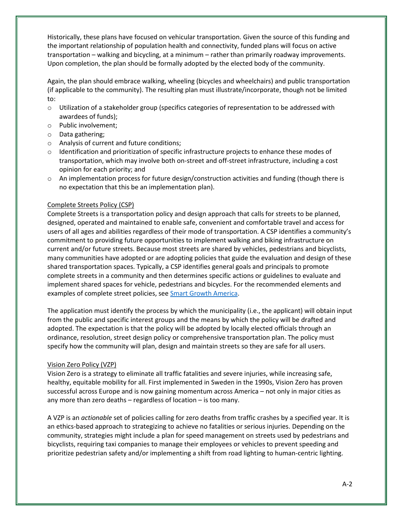Historically, these plans have focused on vehicular transportation. Given the source of this funding and the important relationship of population health and connectivity, funded plans will focus on active transportation – walking and bicycling, at a minimum – rather than primarily roadway improvements. Upon completion, the plan should be formally adopted by the elected body of the community.

Again, the plan should embrace walking, wheeling (bicycles and wheelchairs) and public transportation (if applicable to the community). The resulting plan must illustrate/incorporate, though not be limited to:

- o Utilization of a stakeholder group (specifics categories of representation to be addressed with awardees of funds);
- o Public involvement;
- o Data gathering;
- o Analysis of current and future conditions;
- o Identification and prioritization of specific infrastructure projects to enhance these modes of transportation, which may involve both on-street and off-street infrastructure, including a cost opinion for each priority; and
- $\circ$  An implementation process for future design/construction activities and funding (though there is no expectation that this be an implementation plan).

# Complete Streets Policy (CSP)

Complete Streets is a transportation policy and design approach that calls for streets to be planned, designed, operated and maintained to enable safe, convenient and comfortable travel and access for users of all ages and abilities regardless of their mode of transportation. A CSP identifies a community's commitment to providing future opportunities to implement walking and biking infrastructure on current and/or future streets. Because most streets are shared by vehicles, pedestrians and bicyclists, many communities have adopted or are adopting policies that guide the evaluation and design of these shared transportation spaces. Typically, a CSP identifies general goals and principals to promote complete streets in a community and then determines specific actions or guidelines to evaluate and implement shared spaces for vehicle, pedestrians and bicycles. For the recommended elements and examples of complete street policies, se[e Smart Growth America.](https://smartgrowthamerica.org/resources/the-best-complete-streets-policies-of-2016/)

The application must identify the process by which the municipality (i.e., the applicant) will obtain input from the public and specific interest groups and the means by which the policy will be drafted and adopted. The expectation is that the policy will be adopted by locally elected officials through an ordinance, resolution, street design policy or comprehensive transportation plan. The policy must specify how the community will plan, design and maintain streets so they are safe for all users.

# Vision Zero Policy (VZP)

Vision Zero is a strategy to eliminate all traffic fatalities and severe injuries, while increasing safe, healthy, equitable mobility for all. First implemented in Sweden in the 1990s, Vision Zero has proven successful across Europe and is now gaining momentum across America – not only in major cities as any more than zero deaths – regardless of location – is too many.

A VZP is an *actionable* set of policies calling for zero deaths from traffic crashes by a specified year. It is an ethics-based approach to strategizing to achieve no fatalities or serious injuries. Depending on the community, strategies might include a plan for speed management on streets used by pedestrians and bicyclists, requiring taxi companies to manage their employees or vehicles to prevent speeding and prioritize pedestrian safety and/or implementing a shift from road lighting to human-centric lighting.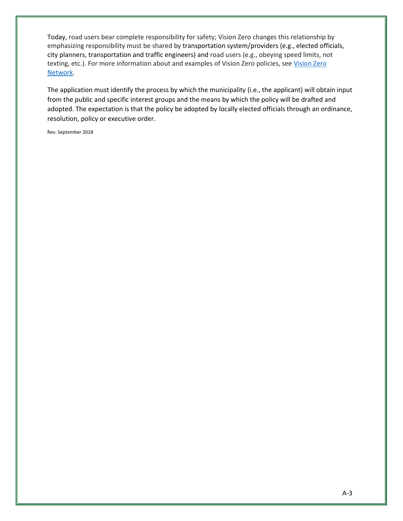Today, road users bear complete responsibility for safety; Vision Zero changes this relationship by emphasizing responsibility must be shared by transportation system/providers (e.g., elected officials, city planners, transportation and traffic engineers) and road users (e.g., obeying speed limits, not texting, etc.). For more information about and examples of Vision Zero policies, see [Vision Zero](https://visionzeronetwork.org/)  [Network.](https://visionzeronetwork.org/)

The application must identify the process by which the municipality (i.e., the applicant) will obtain input from the public and specific interest groups and the means by which the policy will be drafted and adopted. The expectation is that the policy be adopted by locally elected officials through an ordinance, resolution, policy or executive order.

Rev. September 2018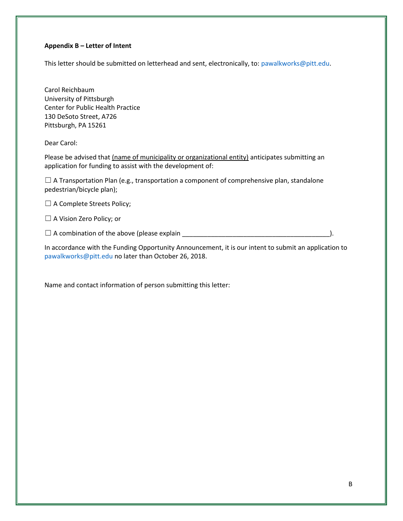### **Appendix B – Letter of Intent**

This letter should be submitted on letterhead and sent, electronically, to[: pawalkworks@pitt.edu.](mailto:pawalkworks@pitt.edu)

Carol Reichbaum University of Pittsburgh Center for Public Health Practice 130 DeSoto Street, A726 Pittsburgh, PA 15261

Dear Carol:

Please be advised that (name of municipality or organizational entity) anticipates submitting an application for funding to assist with the development of:

 $\Box$  A Transportation Plan (e.g., transportation a component of comprehensive plan, standalone pedestrian/bicycle plan);

□ A Complete Streets Policy;

☐ A Vision Zero Policy; or

☐ A combination of the above (please explain \_\_\_\_\_\_\_\_\_\_\_\_\_\_\_\_\_\_\_\_\_\_\_\_\_\_\_\_\_\_\_\_\_\_\_\_\_\_\_\_\_).

In accordance with the Funding Opportunity Announcement, it is our intent to submit an application to [pawalkworks@pitt.edu](mailto:pawalkworks@pitt.edu) no later than October 26, 2018.

Name and contact information of person submitting this letter: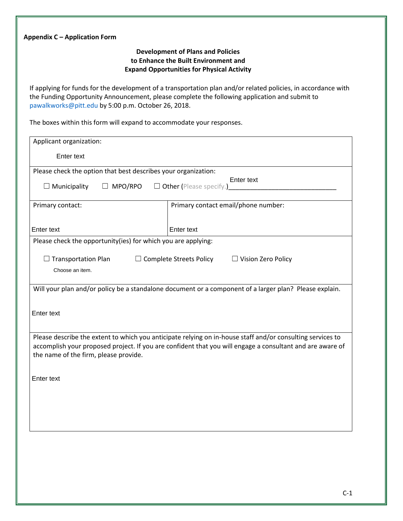| Appendix C - Application Form                                                                                                                                                                                                                                          |  |  |  |  |
|------------------------------------------------------------------------------------------------------------------------------------------------------------------------------------------------------------------------------------------------------------------------|--|--|--|--|
| <b>Development of Plans and Policies</b><br>to Enhance the Built Environment and<br><b>Expand Opportunities for Physical Activity</b>                                                                                                                                  |  |  |  |  |
| If applying for funds for the development of a transportation plan and/or related policies, in accordance with<br>the Funding Opportunity Announcement, please complete the following application and submit to<br>pawalkworks@pitt.edu by 5:00 p.m. October 26, 2018. |  |  |  |  |
| The boxes within this form will expand to accommodate your responses.                                                                                                                                                                                                  |  |  |  |  |
| Applicant organization:                                                                                                                                                                                                                                                |  |  |  |  |
| Enter text                                                                                                                                                                                                                                                             |  |  |  |  |
| Please check the option that best describes your organization:<br>Enter text<br>$\Box$ Other (Please specify.)<br>$\Box$ Municipality<br>$\Box$ MPO/RPO                                                                                                                |  |  |  |  |
| Primary contact email/phone number:<br>Primary contact:                                                                                                                                                                                                                |  |  |  |  |
| Enter text<br>Enter text                                                                                                                                                                                                                                               |  |  |  |  |
| Please check the opportunity(ies) for which you are applying:                                                                                                                                                                                                          |  |  |  |  |
| <b>Transportation Plan</b><br>$\Box$ Complete Streets Policy<br>$\Box$ Vision Zero Policy<br>Choose an item.                                                                                                                                                           |  |  |  |  |
| Will your plan and/or policy be a standalone document or a component of a larger plan? Please explain.                                                                                                                                                                 |  |  |  |  |
| Enter text                                                                                                                                                                                                                                                             |  |  |  |  |
| Please describe the extent to which you anticipate relying on in-house staff and/or consulting services to<br>accomplish your proposed project. If you are confident that you will engage a consultant and are aware of<br>the name of the firm, please provide.       |  |  |  |  |
| <b>Enter text</b>                                                                                                                                                                                                                                                      |  |  |  |  |
|                                                                                                                                                                                                                                                                        |  |  |  |  |
|                                                                                                                                                                                                                                                                        |  |  |  |  |
|                                                                                                                                                                                                                                                                        |  |  |  |  |
|                                                                                                                                                                                                                                                                        |  |  |  |  |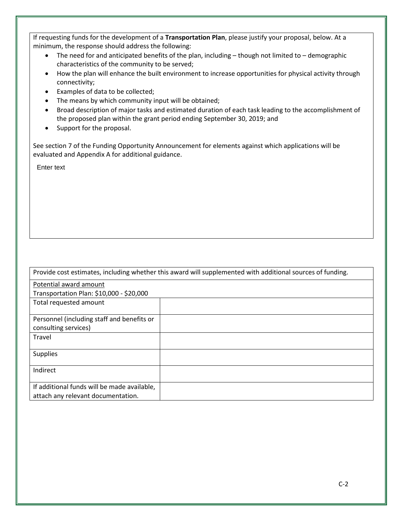If requesting funds for the development of a **Transportation Plan**, please justify your proposal, below. At a minimum, the response should address the following:

- $\bullet$  The need for and anticipated benefits of the plan, including though not limited to demographic characteristics of the community to be served;
- How the plan will enhance the built environment to increase opportunities for physical activity through connectivity;
- Examples of data to be collected;
- The means by which community input will be obtained;
- Broad description of major tasks and estimated duration of each task leading to the accomplishment of the proposed plan within the grant period ending September 30, 2019; and
- Support for the proposal.

See section 7 of the Funding Opportunity Announcement for elements against which applications will be evaluated and Appendix A for additional guidance.

Enter text

| Provide cost estimates, including whether this award will supplemented with additional sources of funding. |  |  |  |  |
|------------------------------------------------------------------------------------------------------------|--|--|--|--|
| Potential award amount                                                                                     |  |  |  |  |
| Transportation Plan: \$10,000 - \$20,000                                                                   |  |  |  |  |
| Total requested amount                                                                                     |  |  |  |  |
| Personnel (including staff and benefits or                                                                 |  |  |  |  |
|                                                                                                            |  |  |  |  |
| consulting services)                                                                                       |  |  |  |  |
| Travel                                                                                                     |  |  |  |  |
| <b>Supplies</b>                                                                                            |  |  |  |  |
| Indirect                                                                                                   |  |  |  |  |
| If additional funds will be made available,                                                                |  |  |  |  |
| attach any relevant documentation.                                                                         |  |  |  |  |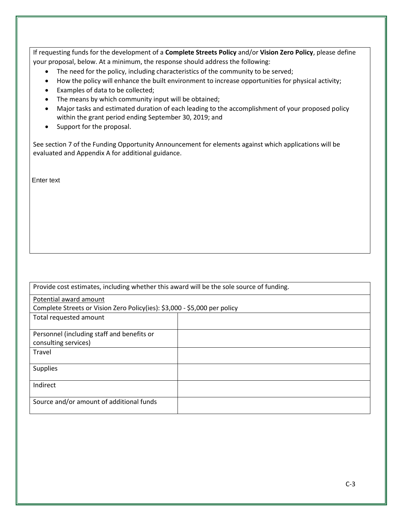If requesting funds for the development of a **Complete Streets Policy** and/or **Vision Zero Policy**, please define your proposal, below. At a minimum, the response should address the following:

- The need for the policy, including characteristics of the community to be served;
- How the policy will enhance the built environment to increase opportunities for physical activity;
- Examples of data to be collected;
- The means by which community input will be obtained;
- Major tasks and estimated duration of each leading to the accomplishment of your proposed policy within the grant period ending September 30, 2019; and
- Support for the proposal.

See section 7 of the Funding Opportunity Announcement for elements against which applications will be evaluated and Appendix A for additional guidance.

Enter text

| Provide cost estimates, including whether this award will be the sole source of funding. |  |  |  |  |
|------------------------------------------------------------------------------------------|--|--|--|--|
| Potential award amount                                                                   |  |  |  |  |
| Complete Streets or Vision Zero Policy(ies): \$3,000 - \$5,000 per policy                |  |  |  |  |
| Total requested amount                                                                   |  |  |  |  |
|                                                                                          |  |  |  |  |
| Personnel (including staff and benefits or                                               |  |  |  |  |
| consulting services)                                                                     |  |  |  |  |
| Travel                                                                                   |  |  |  |  |
| <b>Supplies</b>                                                                          |  |  |  |  |
|                                                                                          |  |  |  |  |
| Indirect                                                                                 |  |  |  |  |
|                                                                                          |  |  |  |  |
| Source and/or amount of additional funds                                                 |  |  |  |  |
|                                                                                          |  |  |  |  |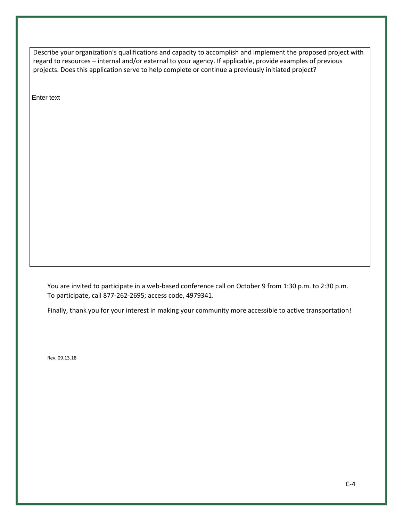Describe your organization's qualifications and capacity to accomplish and implement the proposed project with regard to resources – internal and/or external to your agency. If applicable, provide examples of previous projects. Does this application serve to help complete or continue a previously initiated project?

Enter text

You are invited to participate in a web-based conference call on October 9 from 1:30 p.m. to 2:30 p.m. To participate, call 877-262-2695; access code, 4979341.

Finally, thank you for your interest in making your community more accessible to active transportation!

Rev. 09.13.18